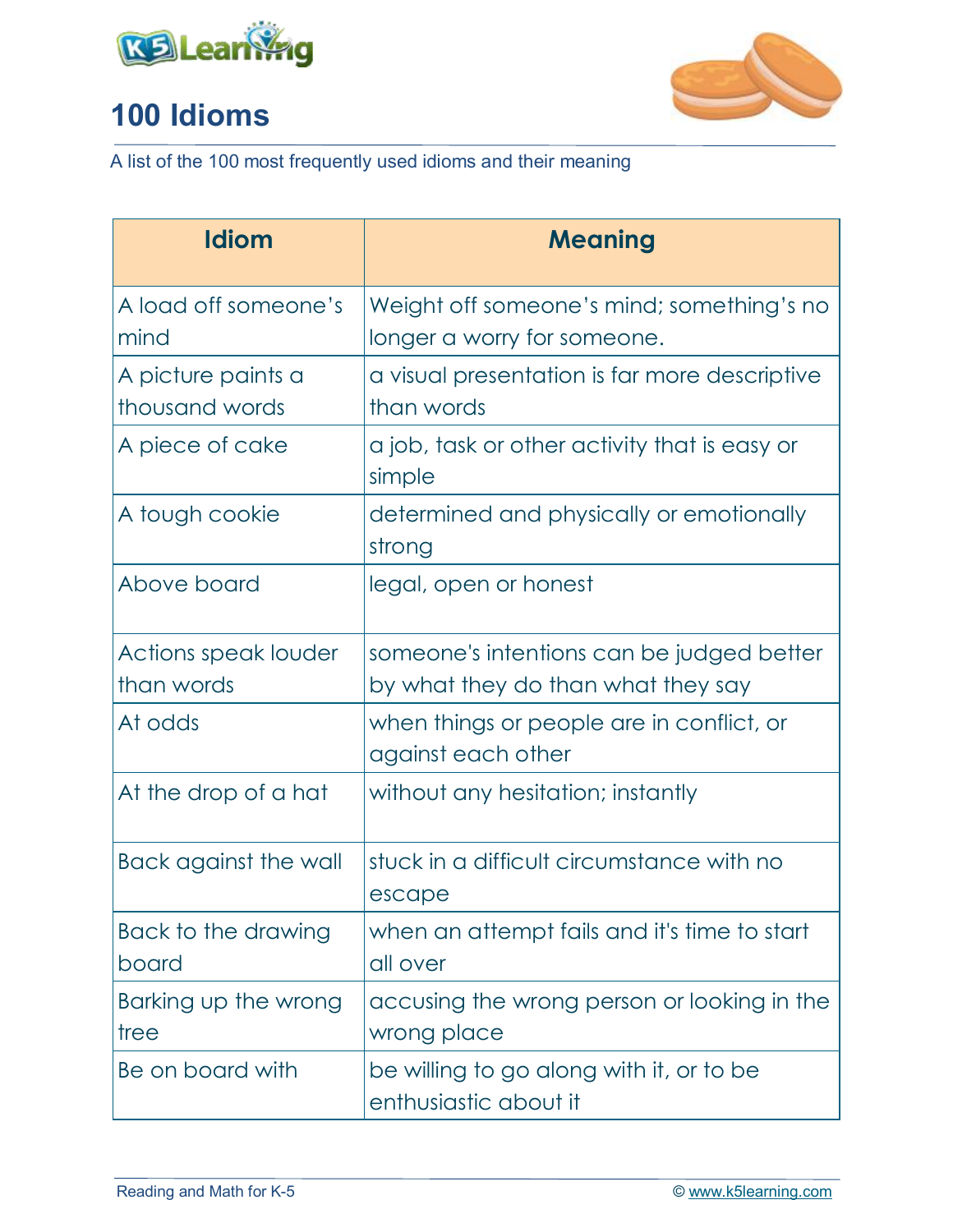



| <b>Idiom</b>                         | <b>Meaning</b>                                                                  |
|--------------------------------------|---------------------------------------------------------------------------------|
| A load off someone's<br>mind         | Weight off someone's mind; something's no<br>longer a worry for someone.        |
| A picture paints a<br>thousand words | a visual presentation is far more descriptive<br>than words                     |
| A piece of cake                      | a job, task or other activity that is easy or<br>simple                         |
| A tough cookie                       | determined and physically or emotionally<br>strong                              |
| Above board                          | legal, open or honest                                                           |
| Actions speak louder<br>than words   | someone's intentions can be judged better<br>by what they do than what they say |
| At odds                              | when things or people are in conflict, or<br>against each other                 |
| At the drop of a hat                 | without any hesitation; instantly                                               |
| Back against the wall                | stuck in a difficult circumstance with no<br>escape                             |
| Back to the drawing<br>board         | when an attempt fails and it's time to start<br>all over                        |
| Barking up the wrong<br>tree         | accusing the wrong person or looking in the<br>wrong place                      |
| Be on board with                     | be willing to go along with it, or to be<br>enthusiastic about it               |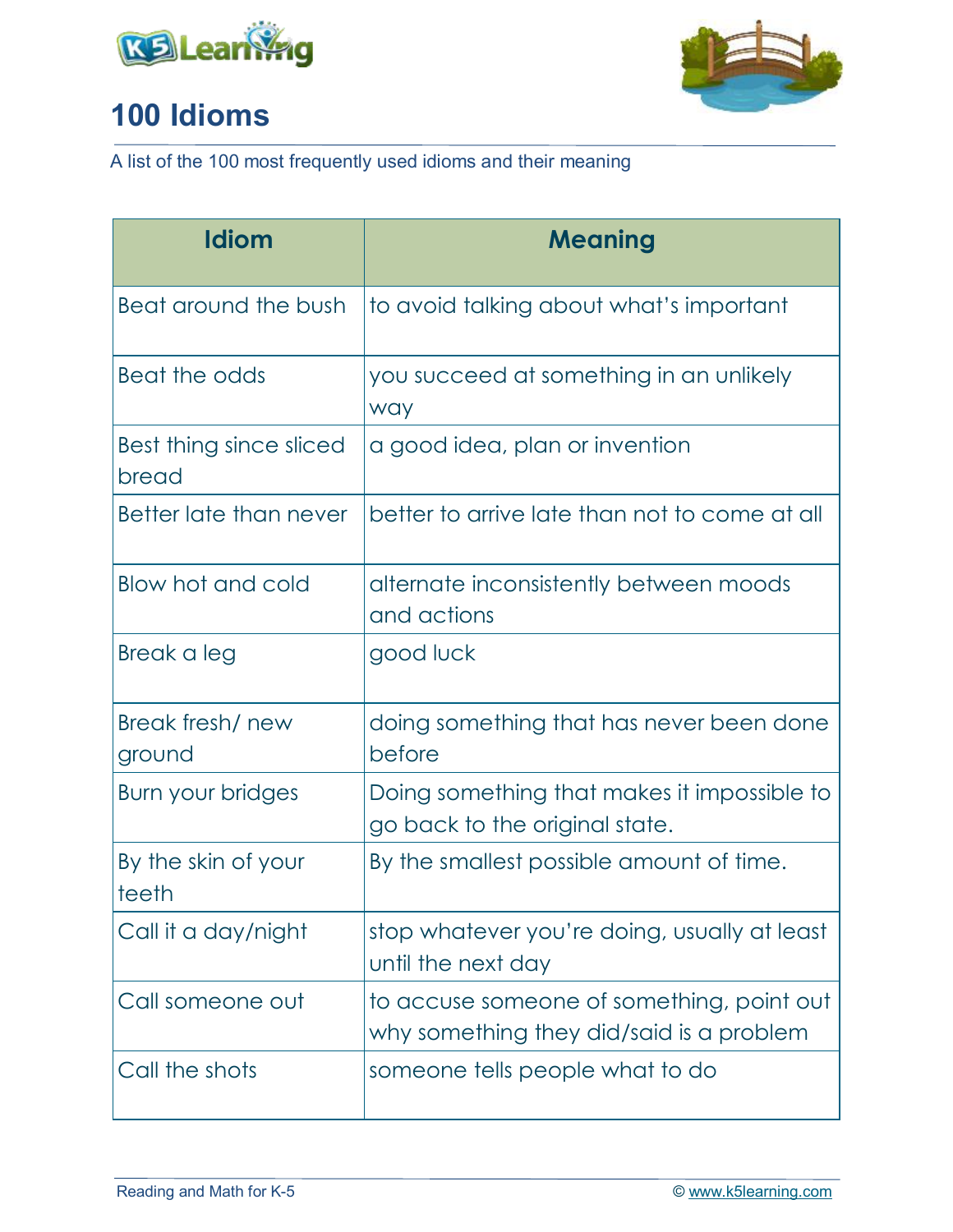



| <b>Idiom</b>                     | <b>Meaning</b>                                                                        |
|----------------------------------|---------------------------------------------------------------------------------------|
| Beat around the bush             | to avoid talking about what's important                                               |
| Beat the odds                    | you succeed at something in an unlikely<br>way                                        |
| Best thing since sliced<br>bread | a good idea, plan or invention                                                        |
| Better late than never           | better to arrive late than not to come at all                                         |
| Blow hot and cold                | alternate inconsistently between moods<br>and actions                                 |
| Break a leg                      | good luck                                                                             |
| Break fresh/new<br>ground        | doing something that has never been done<br>before                                    |
| Burn your bridges                | Doing something that makes it impossible to<br>go back to the original state.         |
| By the skin of your<br>teeth     | By the smallest possible amount of time.                                              |
| Call it a day/night              | stop whatever you're doing, usually at least<br>until the next day                    |
| Call someone out                 | to accuse someone of something, point out<br>why something they did/said is a problem |
| Call the shots                   | someone tells people what to do                                                       |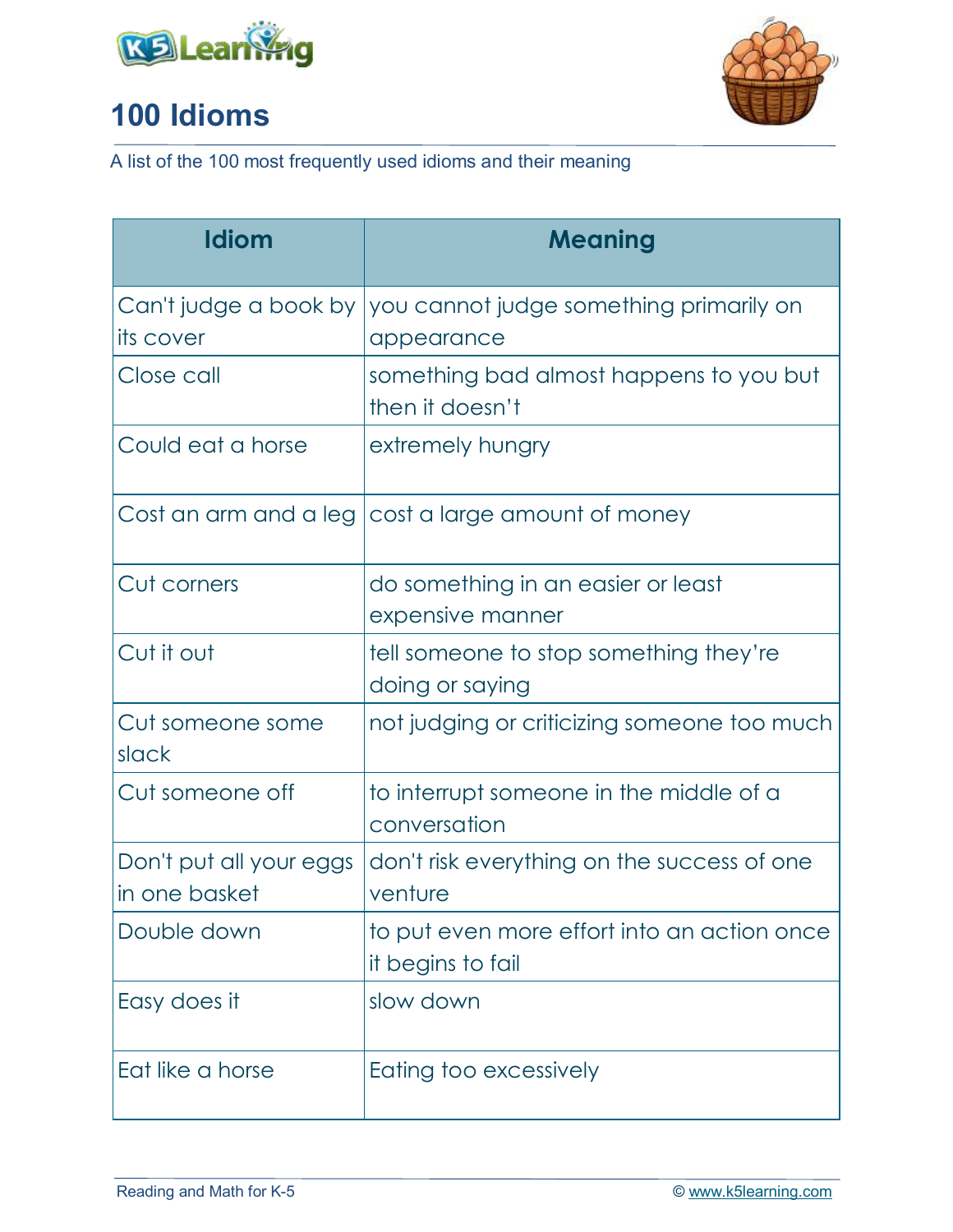



| <b>Idiom</b>                             | <b>Meaning</b>                                                   |
|------------------------------------------|------------------------------------------------------------------|
| Can't judge a book by<br>its cover       | you cannot judge something primarily on<br>appearance            |
| Close call                               | something bad almost happens to you but<br>then it doesn't       |
| Could eat a horse                        | extremely hungry                                                 |
|                                          | Cost an arm and a leg   cost a large amount of money             |
| Cut corners                              | do something in an easier or least<br>expensive manner           |
| Cut it out                               | tell someone to stop something they're<br>doing or saying        |
| Cut someone some<br>slack                | not judging or criticizing someone too much                      |
| Cut someone off                          | to interrupt someone in the middle of a<br>conversation          |
| Don't put all your eggs<br>in one basket | don't risk everything on the success of one<br>venture           |
| Double down                              | to put even more effort into an action once<br>it begins to fail |
| Easy does it                             | slow down                                                        |
| Eat like a horse                         | Eating too excessively                                           |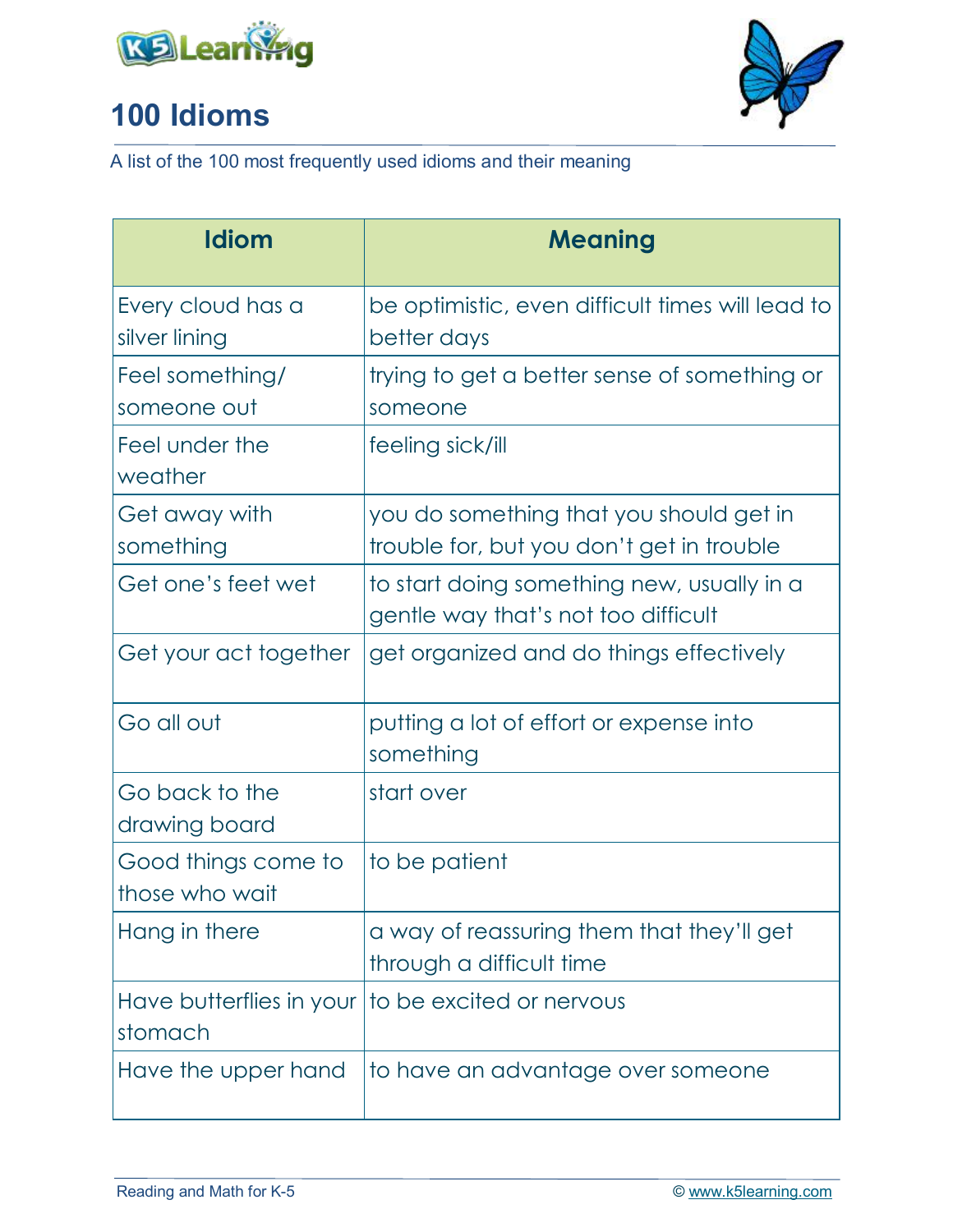



| <b>Idiom</b>                          | <b>Meaning</b>                                                                       |
|---------------------------------------|--------------------------------------------------------------------------------------|
| Every cloud has a<br>silver lining    | be optimistic, even difficult times will lead to<br>better days                      |
| Feel something/<br>someone out        | trying to get a better sense of something or<br>someone                              |
| Feel under the<br>weather             | feeling sick/ill                                                                     |
| Get away with<br>something            | you do something that you should get in<br>trouble for, but you don't get in trouble |
| Get one's feet wet                    | to start doing something new, usually in a<br>gentle way that's not too difficult    |
| Get your act together                 | get organized and do things effectively                                              |
| Go all out                            | putting a lot of effort or expense into<br>something                                 |
| Go back to the<br>drawing board       | start over                                                                           |
| Good things come to<br>those who wait | to be patient                                                                        |
| Hang in there                         | a way of reassuring them that they'll get<br>through a difficult time                |
| Have butterflies in your<br>stomach   | to be excited or nervous                                                             |
| Have the upper hand                   | to have an advantage over someone                                                    |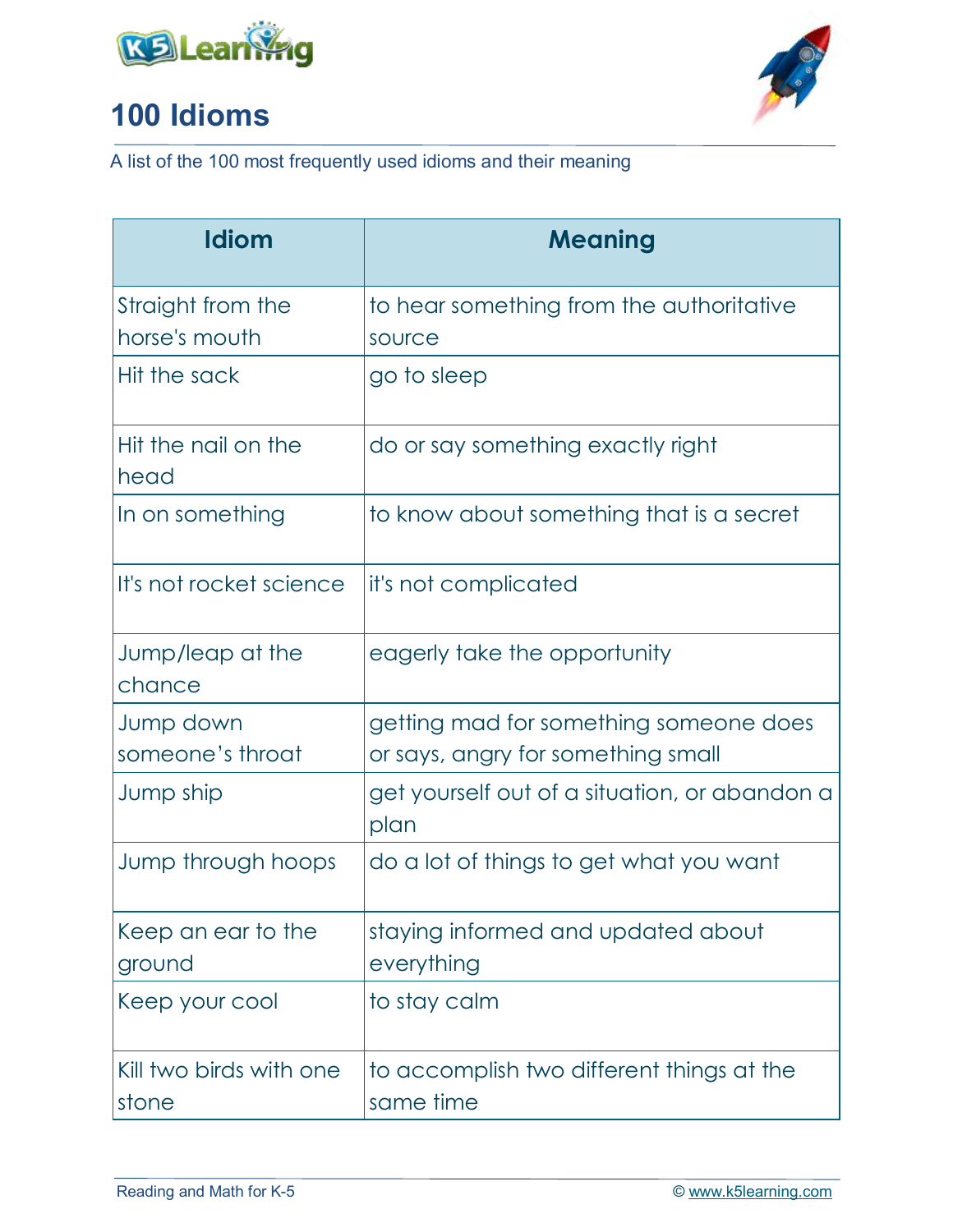



| <b>Idiom</b>                       | <b>Meaning</b>                                        |
|------------------------------------|-------------------------------------------------------|
| Straight from the<br>horse's mouth | to hear something from the authoritative<br>source    |
| Hit the sack                       | go to sleep                                           |
| Hit the nail on the<br>head        | do or say something exactly right                     |
| In on something                    | to know about something that is a secret              |
| It's not rocket science            | it's not complicated                                  |
| Jump/leap at the<br>chance         | eagerly take the opportunity                          |
| Jump down                          | getting mad for something someone does                |
| someone's throat                   | or says, angry for something small                    |
| Jump ship                          | get yourself out of a situation, or abandon a<br>plan |
| Jump through hoops                 | do a lot of things to get what you want               |
| Keep an ear to the<br>ground       | staying informed and updated about<br>everything      |
| Keep your cool                     | to stay calm                                          |
| Kill two birds with one            | to accomplish two different things at the             |
| stone                              | same time                                             |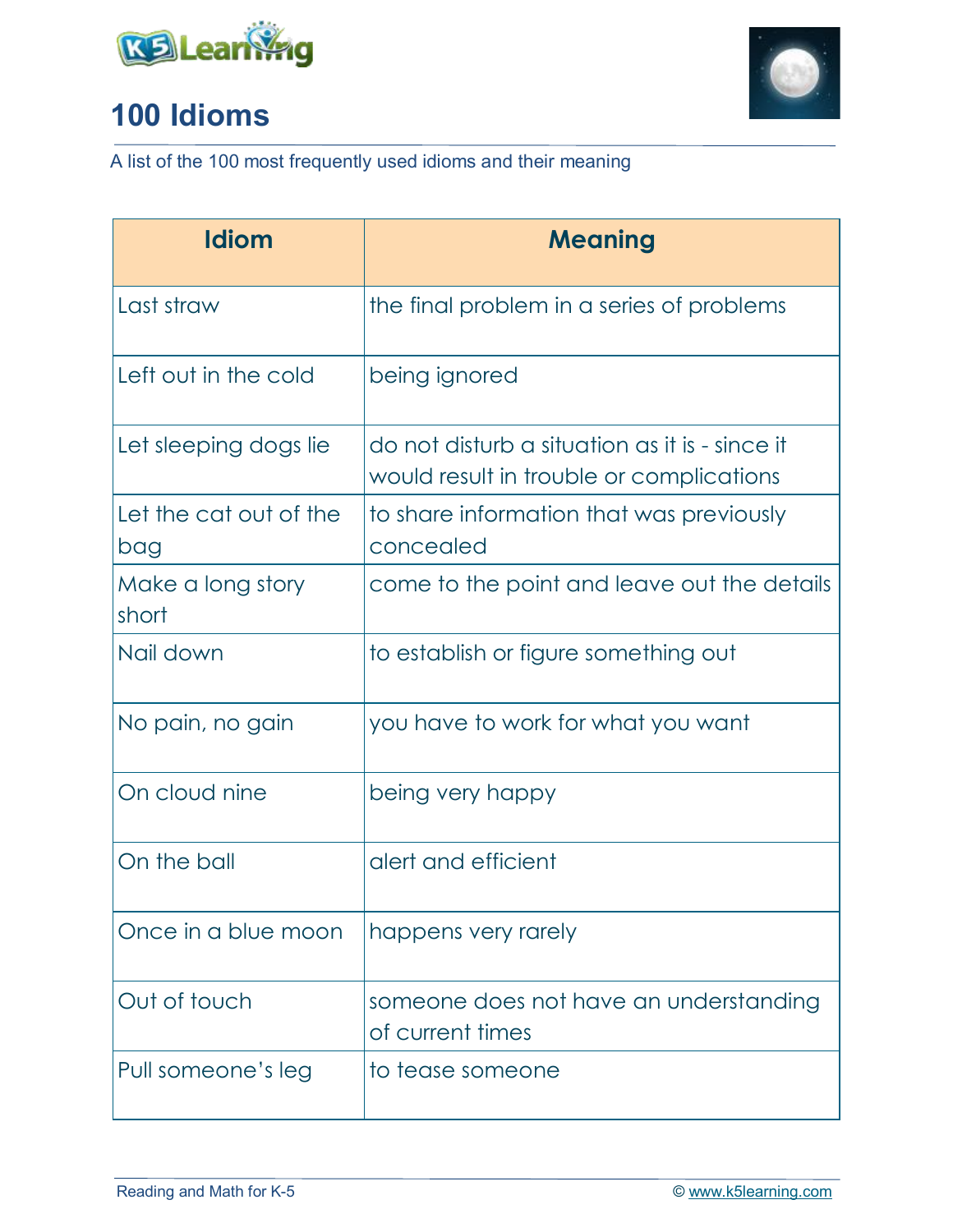



| <b>Idiom</b>                  | <b>Meaning</b>                                                                             |
|-------------------------------|--------------------------------------------------------------------------------------------|
| Last straw                    | the final problem in a series of problems                                                  |
| Left out in the cold          | being ignored                                                                              |
| Let sleeping dogs lie         | do not disturb a situation as it is - since it<br>would result in trouble or complications |
| Let the cat out of the<br>bag | to share information that was previously<br>concealed                                      |
| Make a long story<br>short    | come to the point and leave out the details                                                |
| Nail down                     | to establish or figure something out                                                       |
| No pain, no gain              | you have to work for what you want                                                         |
| On cloud nine                 | being very happy                                                                           |
| On the ball                   | alert and efficient                                                                        |
| Once in a blue moon           | happens very rarely                                                                        |
| Out of touch                  | someone does not have an understanding<br>of current times                                 |
| Pull someone's leg            | to tease someone                                                                           |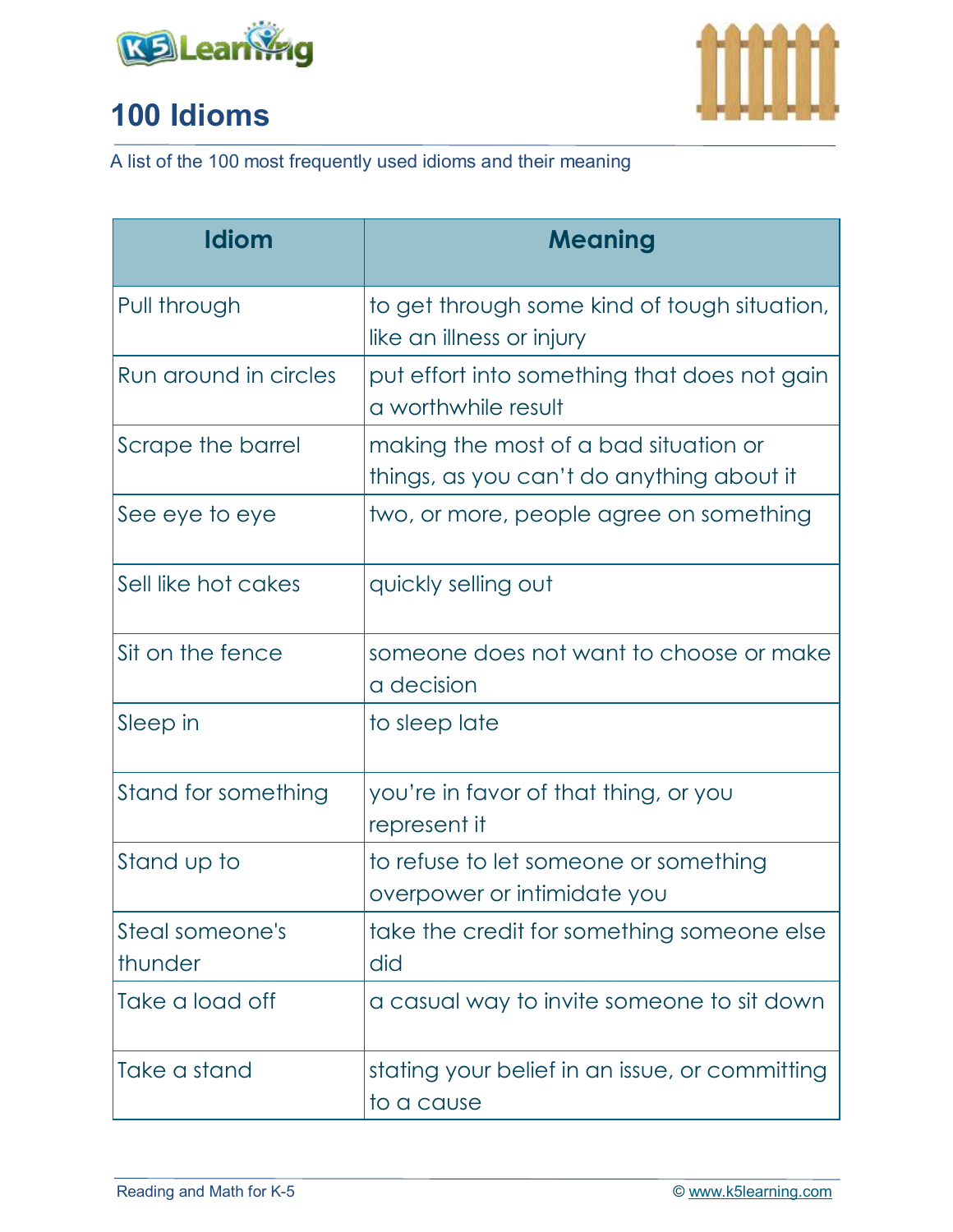



| <b>Idiom</b>               | <b>Meaning</b>                                                                     |
|----------------------------|------------------------------------------------------------------------------------|
| Pull through               | to get through some kind of tough situation,<br>like an illness or injury          |
| Run around in circles      | put effort into something that does not gain<br>a worthwhile result                |
| Scrape the barrel          | making the most of a bad situation or<br>things, as you can't do anything about it |
| See eye to eye             | two, or more, people agree on something                                            |
| Sell like hot cakes        | quickly selling out                                                                |
| Sit on the fence           | someone does not want to choose or make<br>a decision                              |
| Sleep in                   | to sleep late                                                                      |
| Stand for something        | you're in favor of that thing, or you<br>represent it                              |
| Stand up to                | to refuse to let someone or something<br>overpower or intimidate you               |
| Steal someone's<br>thunder | take the credit for something someone else<br>did                                  |
| Take a load off            | a casual way to invite someone to sit down                                         |
| Take a stand               | stating your belief in an issue, or committing<br>to a cause                       |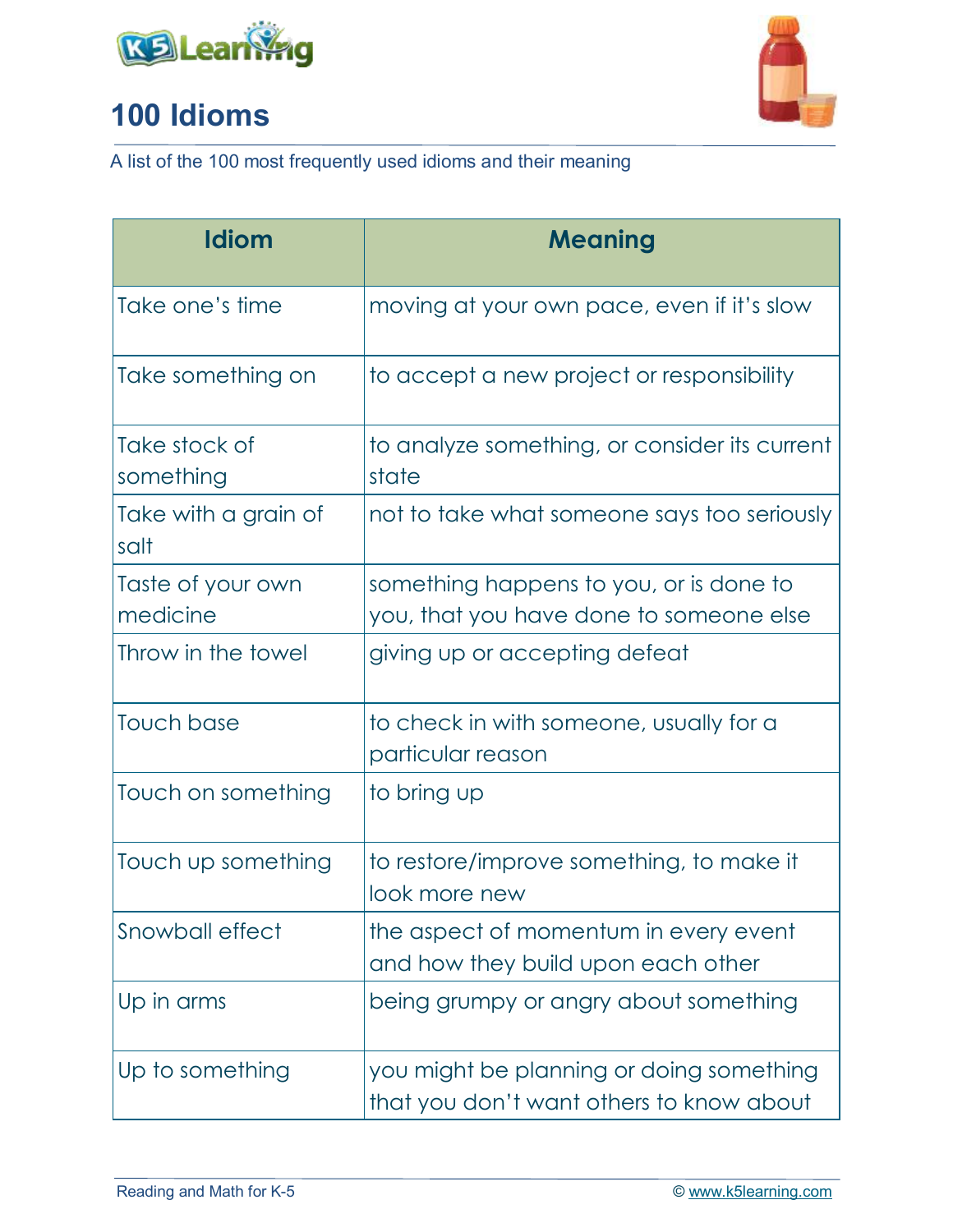



| Idiom                         | <b>Meaning</b>                                                                       |
|-------------------------------|--------------------------------------------------------------------------------------|
| Take one's time               | moving at your own pace, even if it's slow                                           |
| Take something on             | to accept a new project or responsibility                                            |
| Take stock of<br>something    | to analyze something, or consider its current<br>state                               |
| Take with a grain of<br>salt  | not to take what someone says too seriously                                          |
| Taste of your own<br>medicine | something happens to you, or is done to<br>you, that you have done to someone else   |
| Throw in the towel            | giving up or accepting defeat                                                        |
| Touch base                    | to check in with someone, usually for a<br>particular reason                         |
| Touch on something            | to bring up                                                                          |
| Touch up something            | to restore/improve something, to make it<br>look more new                            |
| Snowball effect               | the aspect of momentum in every event<br>and how they build upon each other          |
| Up in arms                    | being grumpy or angry about something                                                |
| Up to something               | you might be planning or doing something<br>that you don't want others to know about |